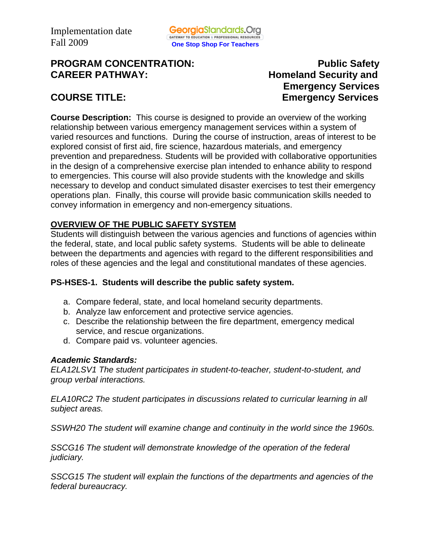# **PROGRAM CONCENTRATION:** PROGRAM **PUblic Safety CAREER PATHWAY: Homeland Security and**

# **Emergency Services COURSE TITLE:** Emergency Services

**Course Description:** This course is designed to provide an overview of the working relationship between various emergency management services within a system of varied resources and functions. During the course of instruction, areas of interest to be explored consist of first aid, fire science, hazardous materials, and emergency prevention and preparedness. Students will be provided with collaborative opportunities in the design of a comprehensive exercise plan intended to enhance ability to respond to emergencies. This course will also provide students with the knowledge and skills necessary to develop and conduct simulated disaster exercises to test their emergency operations plan. Finally, this course will provide basic communication skills needed to convey information in emergency and non-emergency situations.

# **OVERVIEW OF THE PUBLIC SAFETY SYSTEM**

Students will distinguish between the various agencies and functions of agencies within the federal, state, and local public safety systems. Students will be able to delineate between the departments and agencies with regard to the different responsibilities and roles of these agencies and the legal and constitutional mandates of these agencies.

# **PS-HSES-1. Students will describe the public safety system.**

- a. Compare federal, state, and local homeland security departments.
- b. Analyze law enforcement and protective service agencies.
- c. Describe the relationship between the fire department, emergency medical service, and rescue organizations.
- d. Compare paid vs. volunteer agencies.

# *Academic Standards:*

*ELA12LSV1 The student participates in student-to-teacher, student-to-student, and group verbal interactions.* 

*ELA10RC2 The student participates in discussions related to curricular learning in all subject areas.* 

*SSWH20 The student will examine change and continuity in the world since the 1960s.* 

*SSCG16 The student will demonstrate knowledge of the operation of the federal judiciary.* 

*SSCG15 The student will explain the functions of the departments and agencies of the federal bureaucracy.*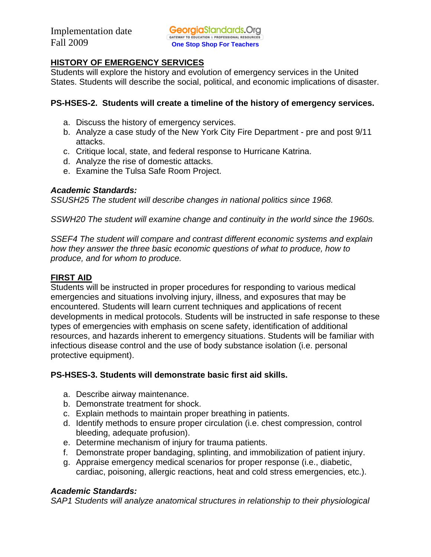# **HISTORY OF EMERGENCY SERVICES**

Students will explore the history and evolution of emergency services in the United States. Students will describe the social, political, and economic implications of disaster.

# **PS-HSES-2. Students will create a timeline of the history of emergency services.**

- a. Discuss the history of emergency services.
- b. Analyze a case study of the New York City Fire Department pre and post 9/11 attacks.
- c. Critique local, state, and federal response to Hurricane Katrina.
- d. Analyze the rise of domestic attacks.
- e. Examine the Tulsa Safe Room Project.

# *Academic Standards:*

*SSUSH25 The student will describe changes in national politics since 1968.* 

*SSWH20 The student will examine change and continuity in the world since the 1960s.* 

*SSEF4 The student will compare and contrast different economic systems and explain how they answer the three basic economic questions of what to produce, how to produce, and for whom to produce.* 

# **FIRST AID**

Students will be instructed in proper procedures for responding to various medical emergencies and situations involving injury, illness, and exposures that may be encountered. Students will learn current techniques and applications of recent developments in medical protocols. Students will be instructed in safe response to these types of emergencies with emphasis on scene safety, identification of additional resources, and hazards inherent to emergency situations. Students will be familiar with infectious disease control and the use of body substance isolation (i.e. personal protective equipment).

# **PS-HSES-3. Students will demonstrate basic first aid skills.**

- a. Describe airway maintenance.
- b. Demonstrate treatment for shock.
- c. Explain methods to maintain proper breathing in patients.
- d. Identify methods to ensure proper circulation (i.e. chest compression, control bleeding, adequate profusion).
- e. Determine mechanism of injury for trauma patients.
- f. Demonstrate proper bandaging, splinting, and immobilization of patient injury.
- g. Appraise emergency medical scenarios for proper response (i.e., diabetic, cardiac, poisoning, allergic reactions, heat and cold stress emergencies, etc.).

# *Academic Standards:*

*SAP1 Students will analyze anatomical structures in relationship to their physiological*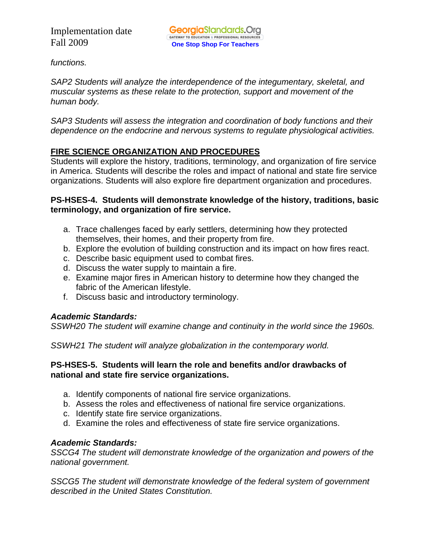*functions.*

*SAP2 Students will analyze the interdependence of the integumentary, skeletal, and muscular systems as these relate to the protection, support and movement of the human body.* 

*SAP3 Students will assess the integration and coordination of body functions and their dependence on the endocrine and nervous systems to regulate physiological activities.* 

# **FIRE SCIENCE ORGANIZATION AND PROCEDURES**

Students will explore the history, traditions, terminology, and organization of fire service in America. Students will describe the roles and impact of national and state fire service organizations. Students will also explore fire department organization and procedures.

#### **PS-HSES-4. Students will demonstrate knowledge of the history, traditions, basic terminology, and organization of fire service.**

- a. Trace challenges faced by early settlers, determining how they protected themselves, their homes, and their property from fire.
- b. Explore the evolution of building construction and its impact on how fires react.
- c. Describe basic equipment used to combat fires.
- d. Discuss the water supply to maintain a fire.
- e. Examine major fires in American history to determine how they changed the fabric of the American lifestyle.
- f. Discuss basic and introductory terminology.

# *Academic Standards:*

*SSWH20 The student will examine change and continuity in the world since the 1960s.* 

*SSWH21 The student will analyze globalization in the contemporary world.* 

# **PS-HSES-5. Students will learn the role and benefits and/or drawbacks of national and state fire service organizations.**

- a. Identify components of national fire service organizations.
- b. Assess the roles and effectiveness of national fire service organizations.
- c. Identify state fire service organizations.
- d. Examine the roles and effectiveness of state fire service organizations.

# *Academic Standards:*

*SSCG4 The student will demonstrate knowledge of the organization and powers of the national government.* 

*SSCG5 The student will demonstrate knowledge of the federal system of government described in the United States Constitution.*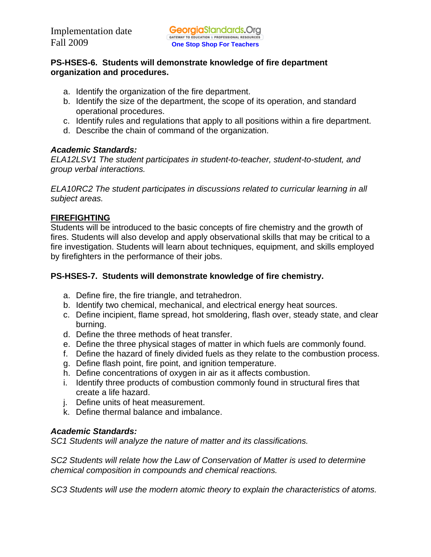# **PS-HSES-6. Students will demonstrate knowledge of fire department organization and procedures.**

- a. Identify the organization of the fire department.
- b. Identify the size of the department, the scope of its operation, and standard operational procedures.
- c. Identify rules and regulations that apply to all positions within a fire department.
- d. Describe the chain of command of the organization.

# *Academic Standards:*

*ELA12LSV1 The student participates in student-to-teacher, student-to-student, and group verbal interactions.* 

*ELA10RC2 The student participates in discussions related to curricular learning in all subject areas.* 

# **FIREFIGHTING**

Students will be introduced to the basic concepts of fire chemistry and the growth of fires. Students will also develop and apply observational skills that may be critical to a fire investigation. Students will learn about techniques, equipment, and skills employed by firefighters in the performance of their jobs.

# **PS-HSES-7. Students will demonstrate knowledge of fire chemistry.**

- a. Define fire, the fire triangle, and tetrahedron.
- b. Identify two chemical, mechanical, and electrical energy heat sources.
- c. Define incipient, flame spread, hot smoldering, flash over, steady state, and clear burning.
- d. Define the three methods of heat transfer.
- e. Define the three physical stages of matter in which fuels are commonly found.
- f. Define the hazard of finely divided fuels as they relate to the combustion process.
- g. Define flash point, fire point, and ignition temperature.
- h. Define concentrations of oxygen in air as it affects combustion.
- i. Identify three products of combustion commonly found in structural fires that create a life hazard.
- j. Define units of heat measurement.
- k. Define thermal balance and imbalance.

# *Academic Standards:*

*SC1 Students will analyze the nature of matter and its classifications.* 

*SC2 Students will relate how the Law of Conservation of Matter is used to determine chemical composition in compounds and chemical reactions.* 

*SC3 Students will use the modern atomic theory to explain the characteristics of atoms.*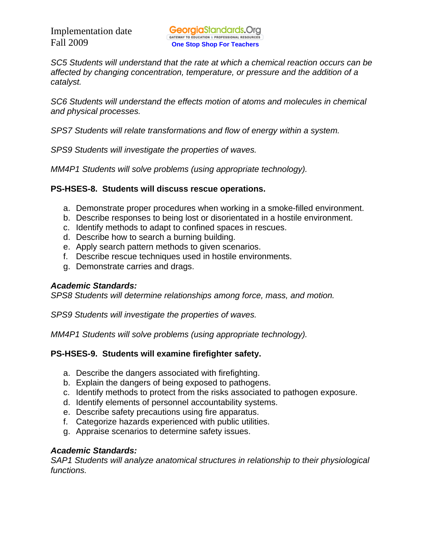*SC5 Students will understand that the rate at which a chemical reaction occurs can be affected by changing concentration, temperature, or pressure and the addition of a catalyst.* 

*SC6 Students will understand the effects motion of atoms and molecules in chemical and physical processes.* 

*SPS7 Students will relate transformations and flow of energy within a system.* 

*SPS9 Students will investigate the properties of waves.* 

*MM4P1 Students will solve problems (using appropriate technology).* 

#### **PS-HSES-8. Students will discuss rescue operations.**

- a. Demonstrate proper procedures when working in a smoke-filled environment.
- b. Describe responses to being lost or disorientated in a hostile environment.
- c. Identify methods to adapt to confined spaces in rescues.
- d. Describe how to search a burning building.
- e. Apply search pattern methods to given scenarios.
- f. Describe rescue techniques used in hostile environments.
- g. Demonstrate carries and drags.

# *Academic Standards:*

*SPS8 Students will determine relationships among force, mass, and motion.* 

*SPS9 Students will investigate the properties of waves.* 

*MM4P1 Students will solve problems (using appropriate technology).* 

# **PS-HSES-9. Students will examine firefighter safety.**

- a. Describe the dangers associated with firefighting.
- b. Explain the dangers of being exposed to pathogens.
- c. Identify methods to protect from the risks associated to pathogen exposure.
- d. Identify elements of personnel accountability systems.
- e. Describe safety precautions using fire apparatus.
- f. Categorize hazards experienced with public utilities.
- g. Appraise scenarios to determine safety issues.

# *Academic Standards:*

*SAP1 Students will analyze anatomical structures in relationship to their physiological functions.*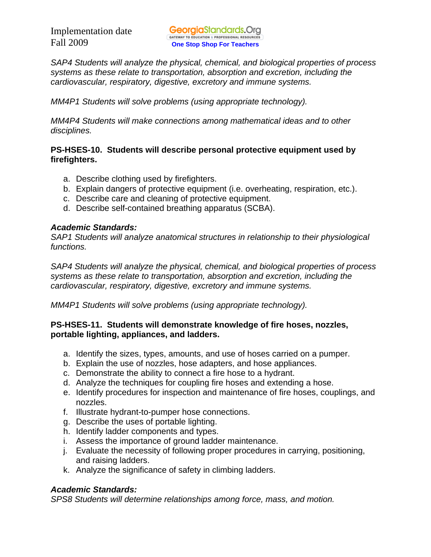*SAP4 Students will analyze the physical, chemical, and biological properties of process systems as these relate to transportation, absorption and excretion, including the cardiovascular, respiratory, digestive, excretory and immune systems.* 

*MM4P1 Students will solve problems (using appropriate technology).* 

*MM4P4 Students will make connections among mathematical ideas and to other disciplines.* 

# **PS-HSES-10. Students will describe personal protective equipment used by firefighters.**

- a. Describe clothing used by firefighters.
- b. Explain dangers of protective equipment (i.e. overheating, respiration, etc.).
- c. Describe care and cleaning of protective equipment.
- d. Describe self-contained breathing apparatus (SCBA).

# *Academic Standards:*

*SAP1 Students will analyze anatomical structures in relationship to their physiological functions.* 

*SAP4 Students will analyze the physical, chemical, and biological properties of process systems as these relate to transportation, absorption and excretion, including the cardiovascular, respiratory, digestive, excretory and immune systems.* 

*MM4P1 Students will solve problems (using appropriate technology).* 

# **PS-HSES-11. Students will demonstrate knowledge of fire hoses, nozzles, portable lighting, appliances, and ladders.**

- a. Identify the sizes, types, amounts, and use of hoses carried on a pumper.
- b. Explain the use of nozzles, hose adapters, and hose appliances.
- c. Demonstrate the ability to connect a fire hose to a hydrant.
- d. Analyze the techniques for coupling fire hoses and extending a hose.
- e. Identify procedures for inspection and maintenance of fire hoses, couplings, and nozzles.
- f. Illustrate hydrant-to-pumper hose connections.
- g. Describe the uses of portable lighting.
- h. Identify ladder components and types.
- i. Assess the importance of ground ladder maintenance.
- j. Evaluate the necessity of following proper procedures in carrying, positioning, and raising ladders.
- k. Analyze the significance of safety in climbing ladders.

# *Academic Standards:*

*SPS8 Students will determine relationships among force, mass, and motion.*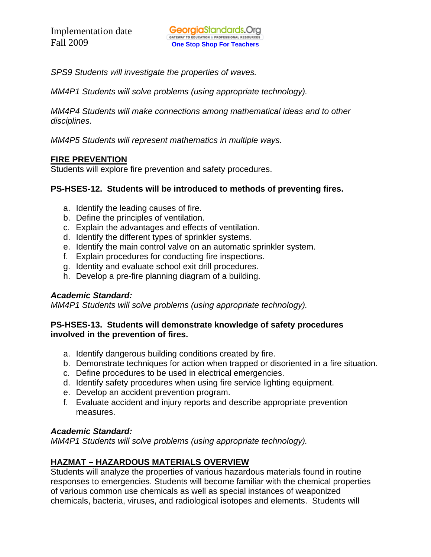*SPS9 Students will investigate the properties of waves.* 

*MM4P1 Students will solve problems (using appropriate technology).* 

*MM4P4 Students will make connections among mathematical ideas and to other disciplines.* 

*MM4P5 Students will represent mathematics in multiple ways.* 

# **FIRE PREVENTION**

Students will explore fire prevention and safety procedures.

# **PS-HSES-12. Students will be introduced to methods of preventing fires.**

- a. Identify the leading causes of fire.
- b. Define the principles of ventilation.
- c. Explain the advantages and effects of ventilation.
- d. Identify the different types of sprinkler systems.
- e. Identify the main control valve on an automatic sprinkler system.
- f. Explain procedures for conducting fire inspections.
- g. Identity and evaluate school exit drill procedures.
- h. Develop a pre-fire planning diagram of a building.

# *Academic Standard:*

*MM4P1 Students will solve problems (using appropriate technology).* 

# **PS-HSES-13. Students will demonstrate knowledge of safety procedures involved in the prevention of fires.**

- a. Identify dangerous building conditions created by fire.
- b. Demonstrate techniques for action when trapped or disoriented in a fire situation.
- c. Define procedures to be used in electrical emergencies.
- d. Identify safety procedures when using fire service lighting equipment.
- e. Develop an accident prevention program.
- f. Evaluate accident and injury reports and describe appropriate prevention measures.

# *Academic Standard:*

*MM4P1 Students will solve problems (using appropriate technology).* 

# **HAZMAT – HAZARDOUS MATERIALS OVERVIEW**

Students will analyze the properties of various hazardous materials found in routine responses to emergencies. Students will become familiar with the chemical properties of various common use chemicals as well as special instances of weaponized chemicals, bacteria, viruses, and radiological isotopes and elements. Students will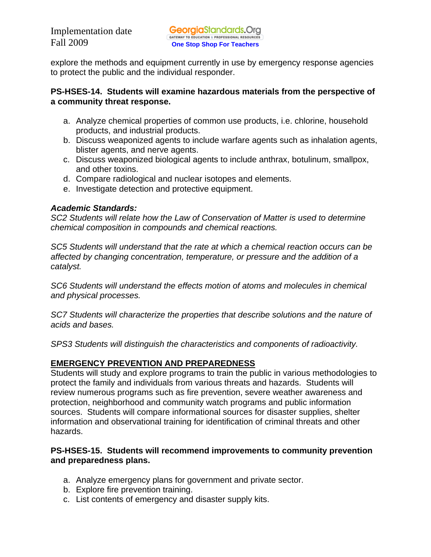explore the methods and equipment currently in use by emergency response agencies to protect the public and the individual responder.

# **PS-HSES-14. Students will examine hazardous materials from the perspective of a community threat response.**

- a. Analyze chemical properties of common use products, i.e. chlorine, household products, and industrial products.
- b. Discuss weaponized agents to include warfare agents such as inhalation agents, blister agents, and nerve agents.
- c. Discuss weaponized biological agents to include anthrax, botulinum, smallpox, and other toxins.
- d. Compare radiological and nuclear isotopes and elements.
- e. Investigate detection and protective equipment.

# *Academic Standards:*

*SC2 Students will relate how the Law of Conservation of Matter is used to determine chemical composition in compounds and chemical reactions.* 

*SC5 Students will understand that the rate at which a chemical reaction occurs can be affected by changing concentration, temperature, or pressure and the addition of a catalyst.* 

*SC6 Students will understand the effects motion of atoms and molecules in chemical and physical processes.* 

*SC7 Students will characterize the properties that describe solutions and the nature of acids and bases.* 

*SPS3 Students will distinguish the characteristics and components of radioactivity.* 

# **EMERGENCY PREVENTION AND PREPAREDNESS**

Students will study and explore programs to train the public in various methodologies to protect the family and individuals from various threats and hazards. Students will review numerous programs such as fire prevention, severe weather awareness and protection, neighborhood and community watch programs and public information sources. Students will compare informational sources for disaster supplies, shelter information and observational training for identification of criminal threats and other hazards.

# **PS-HSES-15. Students will recommend improvements to community prevention and preparedness plans.**

- a. Analyze emergency plans for government and private sector.
- b. Explore fire prevention training.
- c. List contents of emergency and disaster supply kits.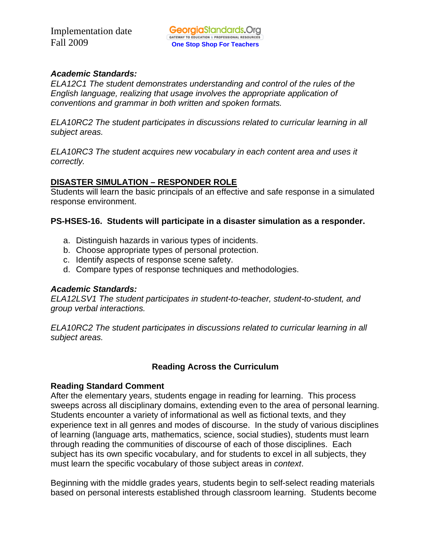# *Academic Standards:*

*ELA12C1 The student demonstrates understanding and control of the rules of the English language, realizing that usage involves the appropriate application of conventions and grammar in both written and spoken formats.* 

*ELA10RC2 The student participates in discussions related to curricular learning in all subject areas.* 

*ELA10RC3 The student acquires new vocabulary in each content area and uses it correctly.* 

# **DISASTER SIMULATION – RESPONDER ROLE**

Students will learn the basic principals of an effective and safe response in a simulated response environment.

# **PS-HSES-16. Students will participate in a disaster simulation as a responder.**

- a. Distinguish hazards in various types of incidents.
- b. Choose appropriate types of personal protection.
- c. Identify aspects of response scene safety.
- d. Compare types of response techniques and methodologies.

# *Academic Standards:*

*ELA12LSV1 The student participates in student-to-teacher, student-to-student, and group verbal interactions.* 

*ELA10RC2 The student participates in discussions related to curricular learning in all subject areas.* 

# **Reading Across the Curriculum**

# **Reading Standard Comment**

After the elementary years, students engage in reading for learning. This process sweeps across all disciplinary domains, extending even to the area of personal learning. Students encounter a variety of informational as well as fictional texts, and they experience text in all genres and modes of discourse. In the study of various disciplines of learning (language arts, mathematics, science, social studies), students must learn through reading the communities of discourse of each of those disciplines. Each subject has its own specific vocabulary, and for students to excel in all subjects, they must learn the specific vocabulary of those subject areas in *context*.

Beginning with the middle grades years, students begin to self-select reading materials based on personal interests established through classroom learning. Students become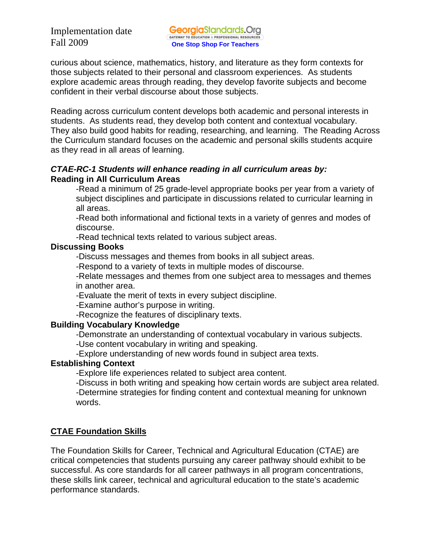curious about science, mathematics, history, and literature as they form contexts for those subjects related to their personal and classroom experiences. As students explore academic areas through reading, they develop favorite subjects and become confident in their verbal discourse about those subjects.

Reading across curriculum content develops both academic and personal interests in students. As students read, they develop both content and contextual vocabulary. They also build good habits for reading, researching, and learning. The Reading Across the Curriculum standard focuses on the academic and personal skills students acquire as they read in all areas of learning.

#### *CTAE-RC-1 Students will enhance reading in all curriculum areas by:*  **Reading in All Curriculum Areas**

-Read a minimum of 25 grade-level appropriate books per year from a variety of subject disciplines and participate in discussions related to curricular learning in all areas.

-Read both informational and fictional texts in a variety of genres and modes of discourse.

-Read technical texts related to various subject areas.

# **Discussing Books**

-Discuss messages and themes from books in all subject areas.

-Respond to a variety of texts in multiple modes of discourse.

-Relate messages and themes from one subject area to messages and themes in another area.

-Evaluate the merit of texts in every subject discipline.

-Examine author's purpose in writing.

-Recognize the features of disciplinary texts.

# **Building Vocabulary Knowledge**

-Demonstrate an understanding of contextual vocabulary in various subjects.

-Use content vocabulary in writing and speaking.

-Explore understanding of new words found in subject area texts.

# **Establishing Context**

-Explore life experiences related to subject area content.

-Discuss in both writing and speaking how certain words are subject area related.

-Determine strategies for finding content and contextual meaning for unknown words.

# **CTAE Foundation Skills**

The Foundation Skills for Career, Technical and Agricultural Education (CTAE) are critical competencies that students pursuing any career pathway should exhibit to be successful. As core standards for all career pathways in all program concentrations, these skills link career, technical and agricultural education to the state's academic performance standards.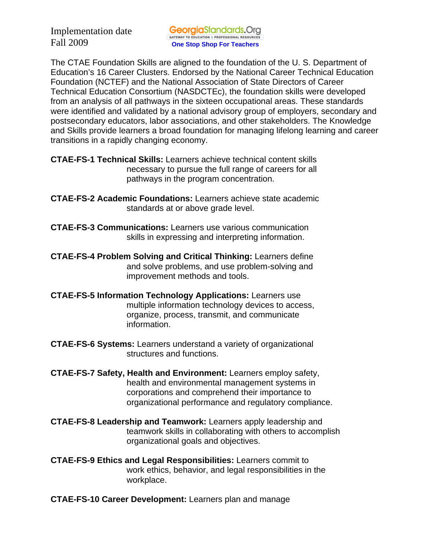The CTAE Foundation Skills are aligned to the foundation of the U. S. Department of Education's 16 Career Clusters. Endorsed by the National Career Technical Education Foundation (NCTEF) and the National Association of State Directors of Career Technical Education Consortium (NASDCTEc), the foundation skills were developed from an analysis of all pathways in the sixteen occupational areas. These standards were identified and validated by a national advisory group of employers, secondary and postsecondary educators, labor associations, and other stakeholders. The Knowledge and Skills provide learners a broad foundation for managing lifelong learning and career transitions in a rapidly changing economy.

- **CTAE-FS-1 Technical Skills:** Learners achieve technical content skills necessary to pursue the full range of careers for all pathways in the program concentration.
- **CTAE-FS-2 Academic Foundations:** Learners achieve state academic standards at or above grade level.
- **CTAE-FS-3 Communications:** Learners use various communication skills in expressing and interpreting information.
- **CTAE-FS-4 Problem Solving and Critical Thinking:** Learners define and solve problems, and use problem-solving and improvement methods and tools.
- **CTAE-FS-5 Information Technology Applications:** Learners use multiple information technology devices to access, organize, process, transmit, and communicate information.
- **CTAE-FS-6 Systems:** Learners understand a variety of organizational structures and functions.
- **CTAE-FS-7 Safety, Health and Environment:** Learners employ safety, health and environmental management systems in corporations and comprehend their importance to organizational performance and regulatory compliance.
- **CTAE-FS-8 Leadership and Teamwork:** Learners apply leadership and teamwork skills in collaborating with others to accomplish organizational goals and objectives.
- **CTAE-FS-9 Ethics and Legal Responsibilities:** Learners commit to work ethics, behavior, and legal responsibilities in the workplace.
- **CTAE-FS-10 Career Development:** Learners plan and manage